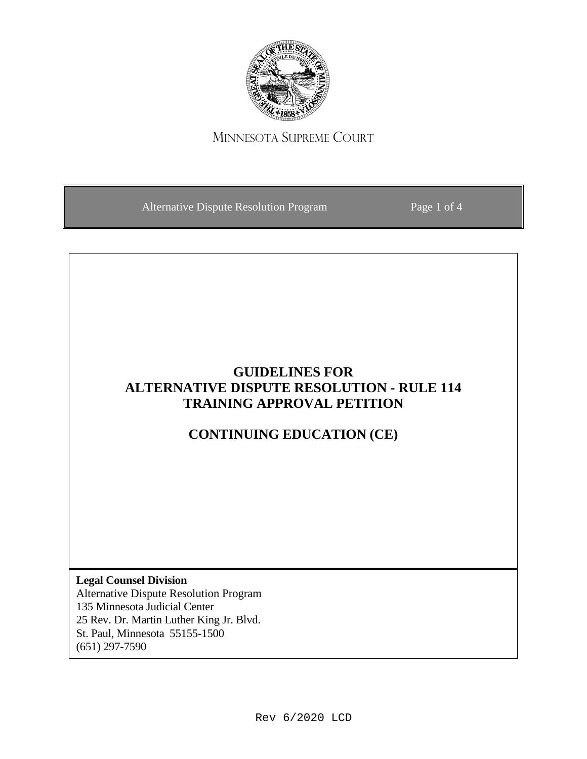

MINNESOTA SUPREME COURT

Alternative Dispute Resolution Program Page 1 of 4

## **GUIDELINES FOR ALTERNATIVE DISPUTE RESOLUTION - RULE 114 TRAINING APPROVAL PETITION**

# **CONTINUING EDUCATION (CE)**

**Legal Counsel Division** Alternative Dispute Resolution Program 135 Minnesota Judicial Center

25 Rev. Dr. Martin Luther King Jr. Blvd. St. Paul, Minnesota 55155-1500 (651) 297-7590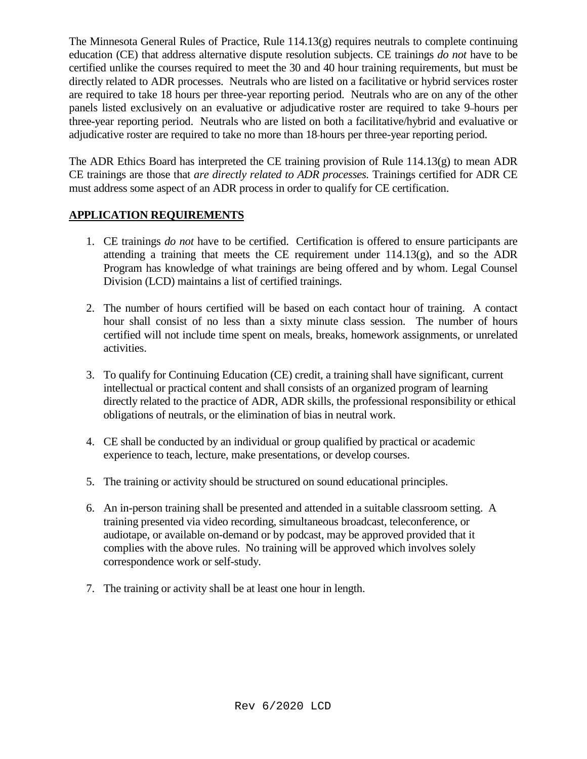The Minnesota General Rules of Practice, Rule 114.13(g) requires neutrals to complete continuing education (CE) that address alternative dispute resolution subjects. CE trainings *do not* have to be certified unlike the courses required to meet the 30 and 40 hour training requirements, but must be directly related to ADR processes. Neutrals who are listed on a facilitative or hybrid services roster are required to take 18 hours per three-year reporting period. Neutrals who are on any of the other panels listed exclusively on an evaluative or adjudicative roster are required to take 9 hours per three-year reporting period. Neutrals who are listed on both a facilitative/hybrid and evaluative or adjudicative roster are required to take no more than 18 hours per three-year reporting period.

The ADR Ethics Board has interpreted the CE training provision of Rule 114.13(g) to mean ADR CE trainings are those that *are directly related to ADR processes.* Trainings certified for ADR CE must address some aspect of an ADR process in order to qualify for CE certification.

## **APPLICATION REQUIREMENTS**

- 1. CE trainings *do not* have to be certified. Certification is offered to ensure participants are attending a training that meets the CE requirement under  $114.13(g)$ , and so the ADR Program has knowledge of what trainings are being offered and by whom. Legal Counsel Division (LCD) maintains a list of certified trainings.
- 2. The number of hours certified will be based on each contact hour of training. A contact hour shall consist of no less than a sixty minute class session. The number of hours certified will not include time spent on meals, breaks, homework assignments, or unrelated activities.
- 3. To qualify for Continuing Education (CE) credit, a training shall have significant, current intellectual or practical content and shall consists of an organized program of learning directly related to the practice of ADR, ADR skills, the professional responsibility or ethical obligations of neutrals, or the elimination of bias in neutral work.
- 4. CE shall be conducted by an individual or group qualified by practical or academic experience to teach, lecture, make presentations, or develop courses.
- 5. The training or activity should be structured on sound educational principles.
- 6. An in-person training shall be presented and attended in a suitable classroom setting. A training presented via video recording, simultaneous broadcast, teleconference, or audiotape, or available on-demand or by podcast, may be approved provided that it complies with the above rules. No training will be approved which involves solely correspondence work or self-study.
- 7. The training or activity shall be at least one hour in length.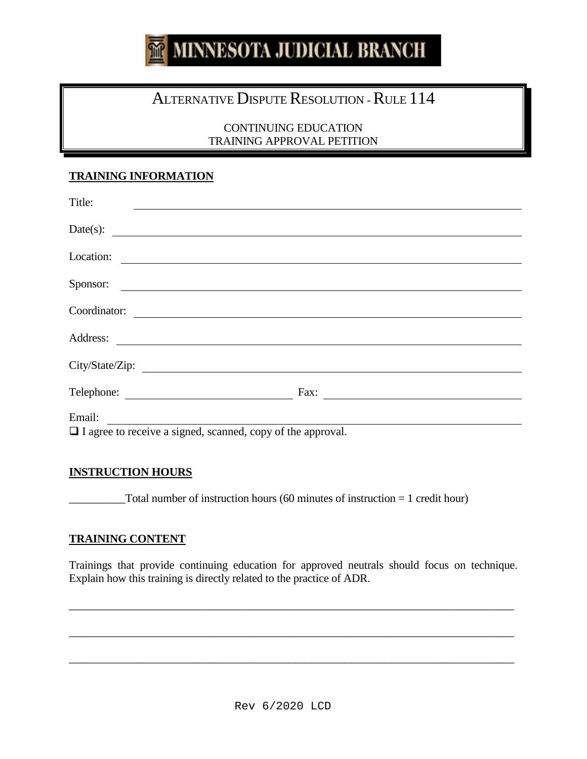# **MINNESOTA JUDICIAL BRANCH**

# ALTERNATIVE DISPUTE RESOLUTION - RULE 114

CONTINUING EDUCATION TRAINING APPROVAL PETITION

#### **TRAINING INFORMATION**

| Title:                                                             |      |
|--------------------------------------------------------------------|------|
| Date(s): $\qquad \qquad$                                           |      |
| Location:                                                          |      |
| Sponsor:                                                           |      |
| Coordinator:                                                       |      |
|                                                                    |      |
| Address:                                                           |      |
|                                                                    |      |
| Telephone:                                                         | Fax: |
| Email:                                                             |      |
| $\Box$ I agree to receive a signed, scanned, copy of the approval. |      |

#### **INSTRUCTION HOURS**

 $\text{Total number of instruction hours } (60 \text{ minutes of instruction} = 1 \text{ credit hour})$ 

## **TRAINING CONTENT**

Trainings that provide continuing education for approved neutrals should focus on technique. Explain how this training is directly related to the practice of ADR.

\_\_\_\_\_\_\_\_\_\_\_\_\_\_\_\_\_\_\_\_\_\_\_\_\_\_\_\_\_\_\_\_\_\_\_\_\_\_\_\_\_\_\_\_\_\_\_\_\_\_\_\_\_\_\_\_\_\_\_\_\_\_\_\_\_\_\_\_\_\_\_\_\_\_\_\_\_\_\_

\_\_\_\_\_\_\_\_\_\_\_\_\_\_\_\_\_\_\_\_\_\_\_\_\_\_\_\_\_\_\_\_\_\_\_\_\_\_\_\_\_\_\_\_\_\_\_\_\_\_\_\_\_\_\_\_\_\_\_\_\_\_\_\_\_\_\_\_\_\_\_\_\_\_\_\_\_\_\_

\_\_\_\_\_\_\_\_\_\_\_\_\_\_\_\_\_\_\_\_\_\_\_\_\_\_\_\_\_\_\_\_\_\_\_\_\_\_\_\_\_\_\_\_\_\_\_\_\_\_\_\_\_\_\_\_\_\_\_\_\_\_\_\_\_\_\_\_\_\_\_\_\_\_\_\_\_\_\_